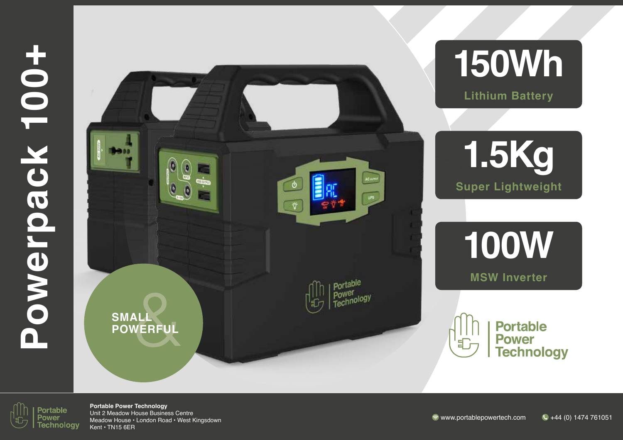

# **150Wh**

**Lithium Battery**



**100W**

**MSW Inverter**



**Portable Power Technology** 

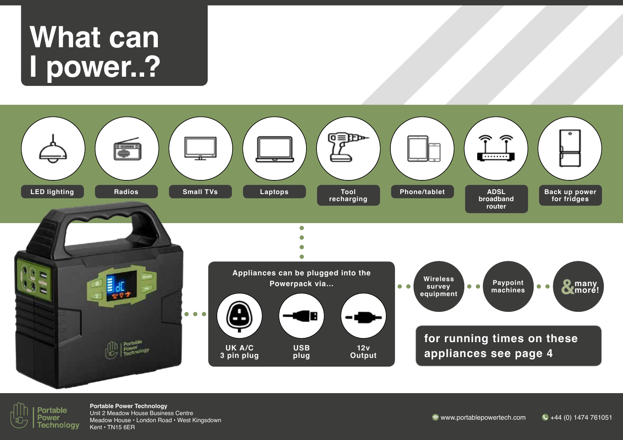## **What can I power..?**



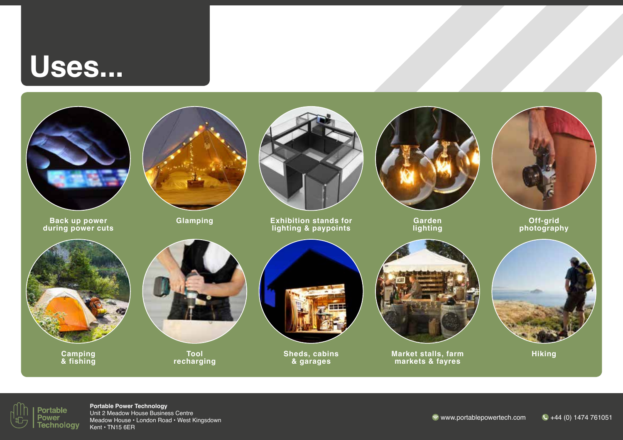## **Uses...**



**Back up power during power cuts**



**Glamping**



**Exhibition stands for lighting & paypoints**



**Garden lighting**



**Off-grid photography**



**Camping & fishing**



**Tool recharging**



**Sheds, cabins & garages**



**Market stalls, farm markets & fayres**



**Hiking**

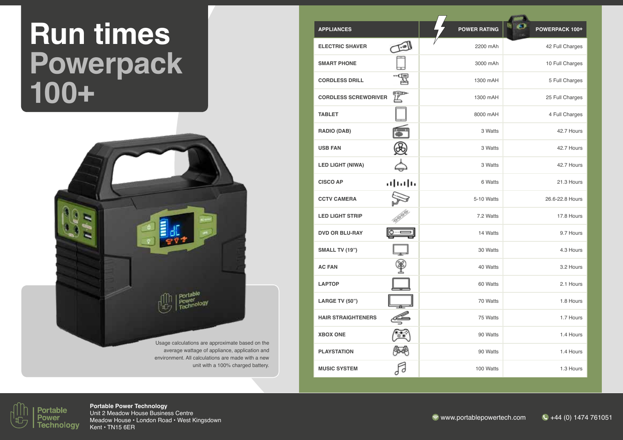# **Run times Powerpack 100+**



average wattage of appliance, application and environment. All calculations are made with a new unit with a 100% charged battery.

| <b>APPLIANCES</b>           |       | <b>POWER RATING</b> | POWERPACK 100+  |
|-----------------------------|-------|---------------------|-----------------|
| <b>ELECTRIC SHAVER</b>      | 四     | 2200 mAh            | 42 Full Charges |
| <b>SMART PHONE</b>          |       | 3000 mAh            | 10 Full Charges |
| <b>CORDLESS DRILL</b>       |       | 1300 mAH            | 5 Full Charges  |
| <b>CORDLESS SCREWDRIVER</b> |       | 1300 mAH            | 25 Full Charges |
| <b>TABLET</b>               |       | 8000 mAH            | 4 Full Charges  |
| <b>RADIO (DAB)</b>          |       | 3 Watts             | 42.7 Hours      |
| <b>USB FAN</b>              |       | 3 Watts             | 42.7 Hours      |
| <b>LED LIGHT (NIWA)</b>     |       | 3 Watts             | 42.7 Hours      |
| <b>CISCO AP</b>             | ببإسا | 6 Watts             | 21.3 Hours      |
| <b>CCTV CAMERA</b>          |       | 5-10 Watts          | 26.6-22.8 Hours |
| <b>LED LIGHT STRIP</b>      |       | 7.2 Watts           | 17.8 Hours      |
| <b>DVD OR BLU-RAY</b>       |       | 14 Watts            | 9.7 Hours       |
| <b>SMALL TV (19")</b>       |       | 30 Watts            | 4.3 Hours       |
| <b>AC FAN</b>               |       | 40 Watts            | 3.2 Hours       |
| <b>LAPTOP</b>               |       | 60 Watts            | 2.1 Hours       |
| <b>LARGE TV (50")</b>       |       | 70 Watts            | 1.8 Hours       |
| <b>HAIR STRAIGHTENERS</b>   |       | 75 Watts            | 1.7 Hours       |
| <b>XBOX ONE</b>             |       | 90 Watts            | 1.4 Hours       |
| <b>PLAYSTATION</b>          |       | 90 Watts            | 1.4 Hours       |
| <b>MUSIC SYSTEM</b>         |       | 100 Watts           | 1.3 Hours       |

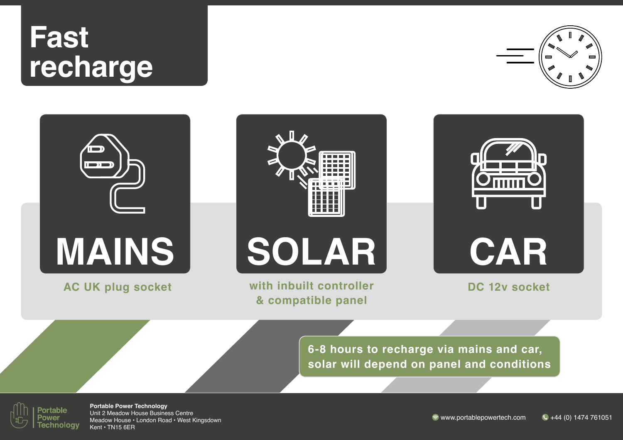# **Fast recharge**







**AC UK plug socket with inbuilt controller & compatible panel**

**DC 12v socket**

**6-8 hours to recharge via mains and car, solar will depend on panel and conditions**

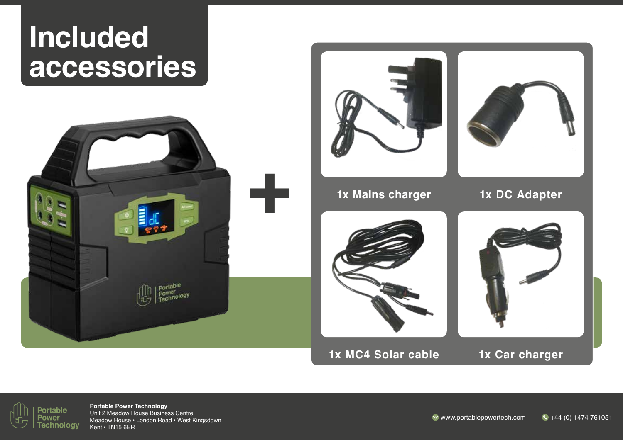#### **Included accessories**





**1x MC4 Solar cable**

**1x Car charger**